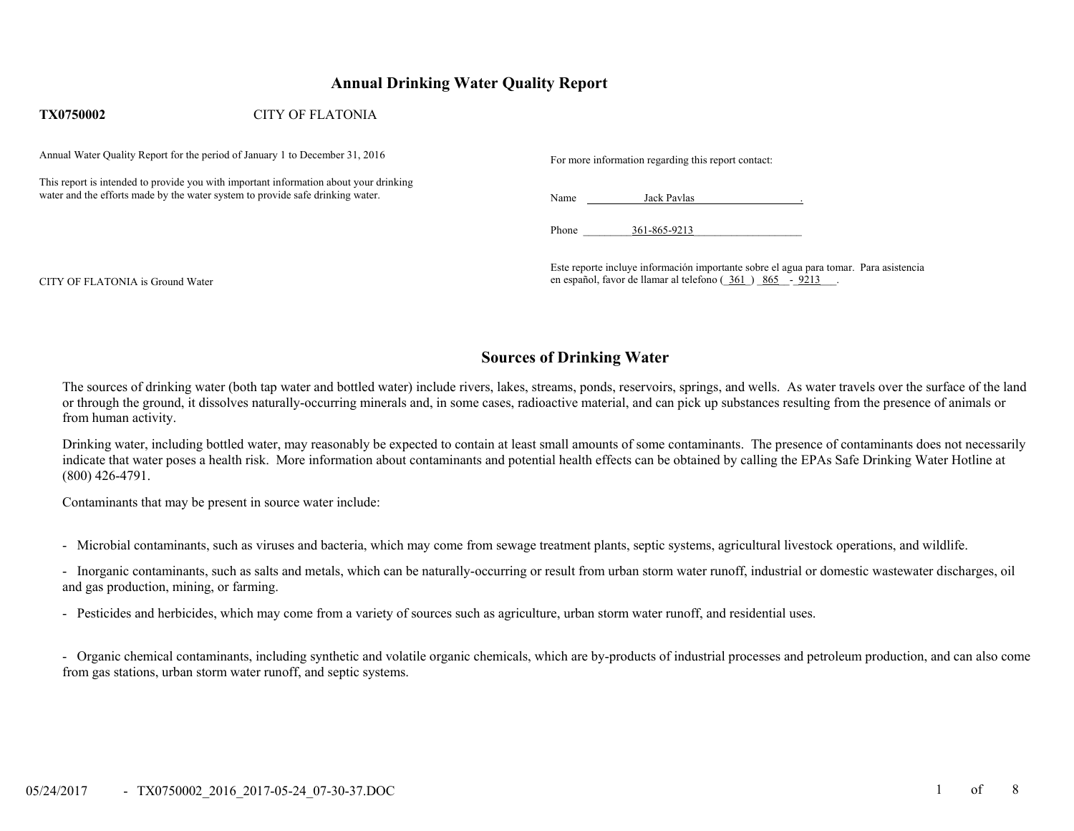# **Annual Drinking Water Quality Report**

#### **TX0750002**CITY OF FLATONIA

Annual Water Quality Report for the period of January 1 to December 31, 2016 For more information regarding this report contact:

This report is intended to provide you with important information about your drinking water and the efforts made by the water system to provide safe drinking water. Name Jack Pavlas . Name Jack Pavlas

Phone  $361-865-9213$ 

Este reporte incluye información importante sobre el agua para tomar. Para asistencia en español, favor de llamar al telefono ( $361$ )  $865 - 9213$ 

CITY OF FLATONIA is Ground Water

## **Sources of Drinking Water**

The sources of drinking water (both tap water and bottled water) include rivers, lakes, streams, ponds, reservoirs, springs, and wells. As water travels over the surface of the land or through the ground, it dissolves naturally-occurring minerals and, in some cases, radioactive material, and can pick up substances resulting from the presence of animals or from human activity.

Drinking water, including bottled water, may reasonably be expected to contain at least small amounts of some contaminants. The presence of contaminants does not necessarily indicate that water poses a health risk. More information about contaminants and potential health effects can be obtained by calling the EPAs Safe Drinking Water Hotline at (800) 426-4791.

Contaminants that may be present in source water include:

- Microbial contaminants, such as viruses and bacteria, which may come from sewage treatment plants, septic systems, agricultural livestock operations, and wildlife.

- Inorganic contaminants, such as salts and metals, which can be naturally-occurring or result from urban storm water runoff, industrial or domestic wastewater discharges, oil and gas production, mining, or farming.

- Pesticides and herbicides, which may come from a variety of sources such as agriculture, urban storm water runoff, and residential uses.

- Organic chemical contaminants, including synthetic and volatile organic chemicals, which are by-products of industrial processes and petroleum production, and can also come from gas stations, urban storm water runoff, and septic systems.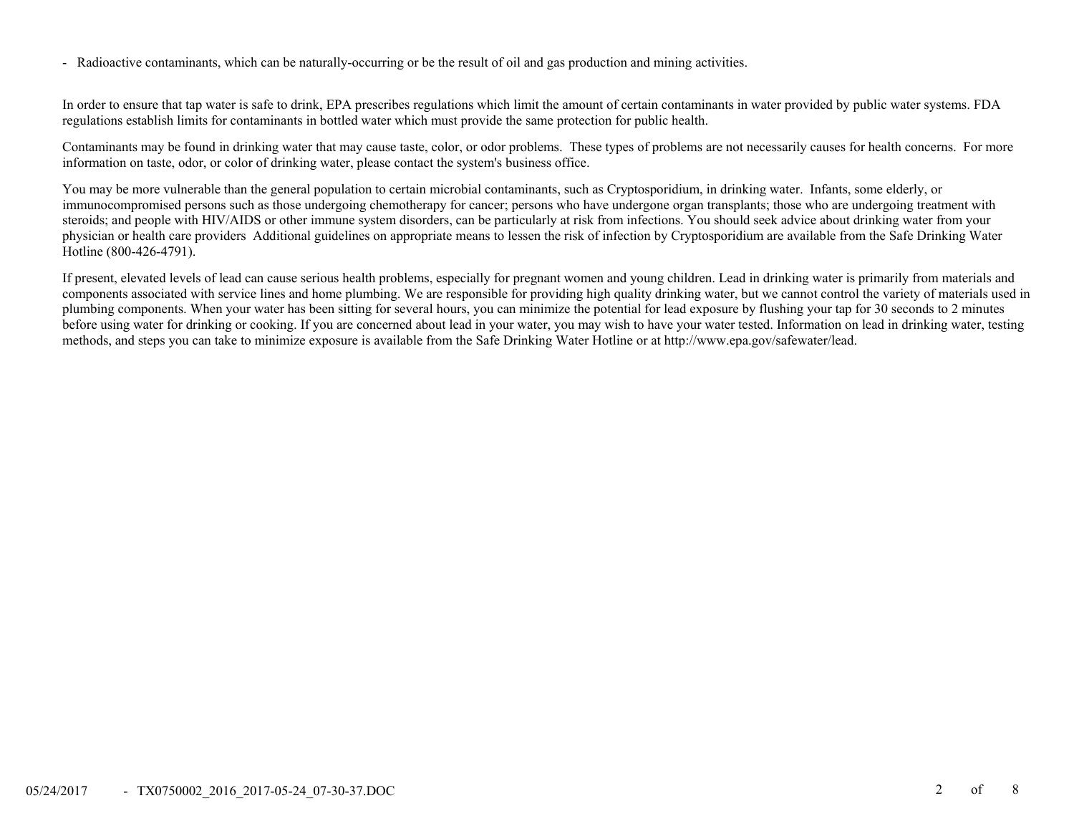- Radioactive contaminants, which can be naturally-occurring or be the result of oil and gas production and mining activities.

In order to ensure that tap water is safe to drink, EPA prescribes regulations which limit the amount of certain contaminants in water provided by public water systems. FDA regulations establish limits for contaminants in bottled water which must provide the same protection for public health.

Contaminants may be found in drinking water that may cause taste, color, or odor problems. These types of problems are not necessarily causes for health concerns. For more information on taste, odor, or color of drinking water, please contact the system's business office.

You may be more vulnerable than the general population to certain microbial contaminants, such as Cryptosporidium, in drinking water. Infants, some elderly, or immunocompromised persons such as those undergoing chemotherapy for cancer; persons who have undergone organ transplants; those who are undergoing treatment with steroids; and people with HIV/AIDS or other immune system disorders, can be particularly at risk from infections. You should seek advice about drinking water from your physician or health care providers Additional guidelines on appropriate means to lessen the risk of infection by Cryptosporidium are available from the Safe Drinking Water Hotline (800-426-4791).

If present, elevated levels of lead can cause serious health problems, especially for pregnant women and young children. Lead in drinking water is primarily from materials and components associated with service lines and home plumbing. We are responsible for providing high quality drinking water, but we cannot control the variety of materials used in plumbing components. When your water has been sitting for several hours, you can minimize the potential for lead exposure by flushing your tap for 30 seconds to 2 minutes before using water for drinking or cooking. If you are concerned about lead in your water, you may wish to have your water tested. Information on lead in drinking water, testing methods, and steps you can take to minimize exposure is available from the Safe Drinking Water Hotline or at http://www.epa.gov/safewater/lead.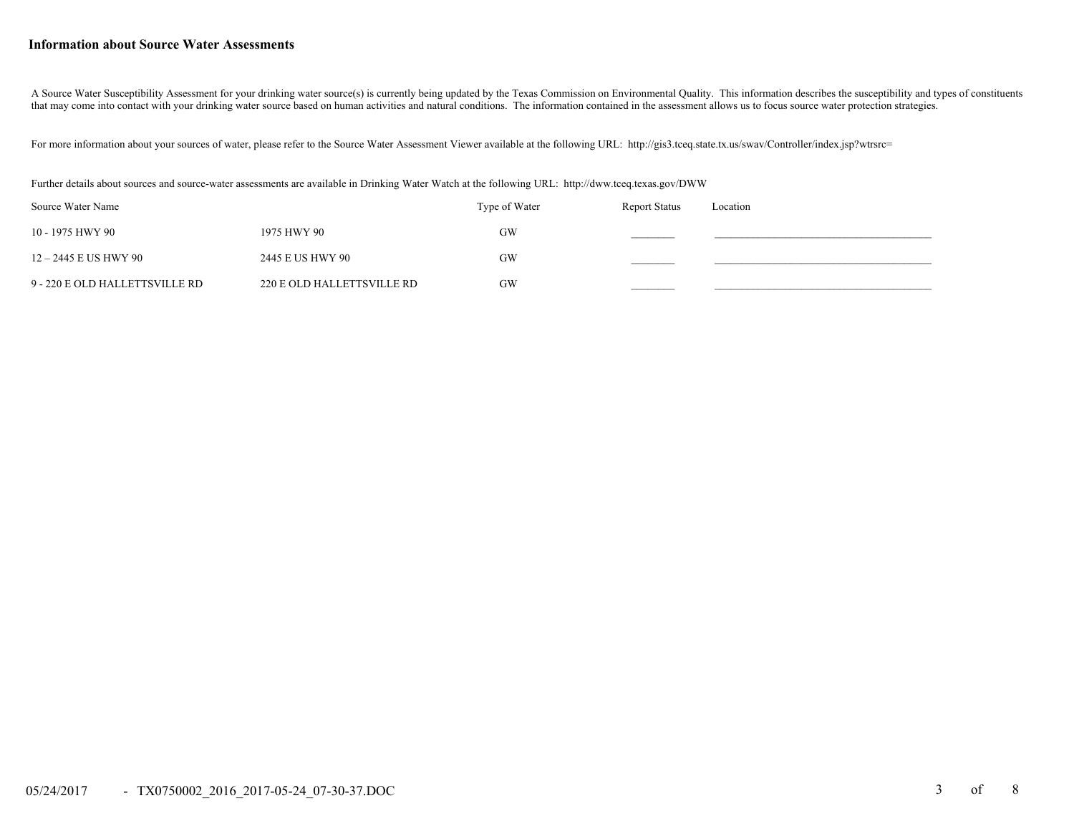#### **Information about Source Water Assessments**

A Source Water Susceptibility Assessment for your drinking water source(s) is currently being updated by the Texas Commission on Environmental Quality. This information describes the susceptibility and types of constituent that may come into contact with your drinking water source based on human activities and natural conditions. The information contained in the assessment allows us to focus source water protection strategies.

For more information about your sources of water, please refer to the Source Water Assessment Viewer available at the following URL: http://gis3.tceq.state.tx.us/swav/Controller/index.jsp?wtrsrc=

Further details about sources and source-water assessments are available in Drinking Water Watch at the following URL: http://dww.tceq.texas.gov/DWW

| Source Water Name              |                            | Type of Water | <b>Report Status</b> | Location |
|--------------------------------|----------------------------|---------------|----------------------|----------|
| 10 - 1975 HWY 90               | 1975 HWY 90                | GW            |                      |          |
| 12 – 2445 E US HWY 90          | 2445 E US HWY 90           | GW            |                      |          |
| 9 - 220 E OLD HALLETTSVILLE RD | 220 E OLD HALLETTSVILLE RD | GW            |                      |          |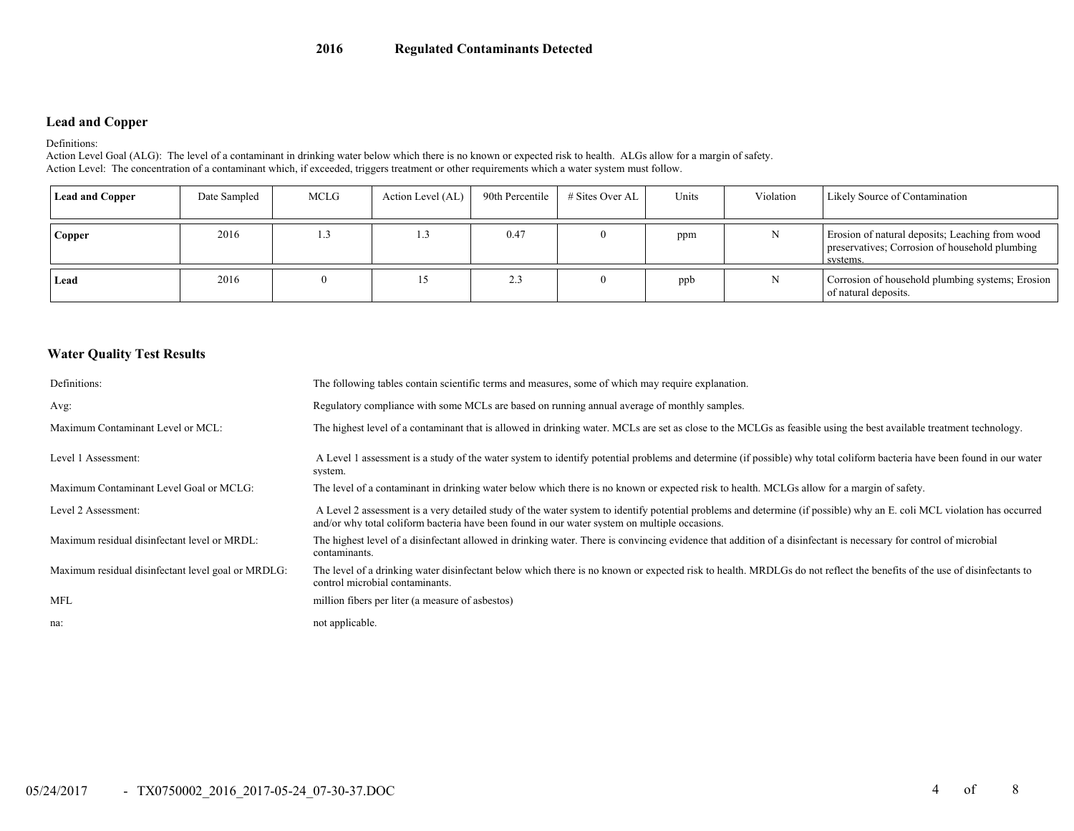### **Lead and Copper**

Definitions:

Action Level Goal (ALG): The level of a contaminant in drinking water below which there is no known or expected risk to health. ALGs allow for a margin of safety. Action Level: The concentration of a contaminant which, if exceeded, triggers treatment or other requirements which a water system must follow.

| <b>Lead and Copper</b> | Date Sampled | MCLG | Action Level (AL) | 90th Percentile | # Sites Over AL | Units | Violation | Likely Source of Contamination                                                                                |
|------------------------|--------------|------|-------------------|-----------------|-----------------|-------|-----------|---------------------------------------------------------------------------------------------------------------|
| Copper                 | 2016         | IJ.  | 1.5               | 0.47            |                 | ppm   |           | Erosion of natural deposits; Leaching from wood<br>preservatives; Corrosion of household plumbing<br>systems. |
| Lead                   | 2016         |      |                   | 2.3             |                 | ppb   | N         | Corrosion of household plumbing systems; Erosion<br>of natural deposits.                                      |

#### **Water Quality Test Results**

| Definitions:                                       | The following tables contain scientific terms and measures, some of which may require explanation.                                                                                                                                                                      |
|----------------------------------------------------|-------------------------------------------------------------------------------------------------------------------------------------------------------------------------------------------------------------------------------------------------------------------------|
| Avg:                                               | Regulatory compliance with some MCLs are based on running annual average of monthly samples.                                                                                                                                                                            |
| Maximum Contaminant Level or MCL:                  | The highest level of a contaminant that is allowed in drinking water. MCLs are set as close to the MCLGs as feasible using the best available treatment technology.                                                                                                     |
| Level 1 Assessment:                                | A Level 1 assessment is a study of the water system to identify potential problems and determine (if possible) why total coliform bacteria have been found in our water<br>system.                                                                                      |
| Maximum Contaminant Level Goal or MCLG:            | The level of a contaminant in drinking water below which there is no known or expected risk to health. MCLGs allow for a margin of safety.                                                                                                                              |
| Level 2 Assessment:                                | A Level 2 assessment is a very detailed study of the water system to identify potential problems and determine (if possible) why an E. coli MCL violation has occurred<br>and/or why total coliform bacteria have been found in our water system on multiple occasions. |
| Maximum residual disinfectant level or MRDL:       | The highest level of a disinfectant allowed in drinking water. There is convincing evidence that addition of a disinfectant is necessary for control of microbial<br>contaminants.                                                                                      |
| Maximum residual disinfectant level goal or MRDLG: | The level of a drinking water disinfectant below which there is no known or expected risk to health. MRDLGs do not reflect the benefits of the use of disinfectants to<br>control microbial contaminants.                                                               |
| <b>MFL</b>                                         | million fibers per liter (a measure of asbestos)                                                                                                                                                                                                                        |
| na:                                                | not applicable.                                                                                                                                                                                                                                                         |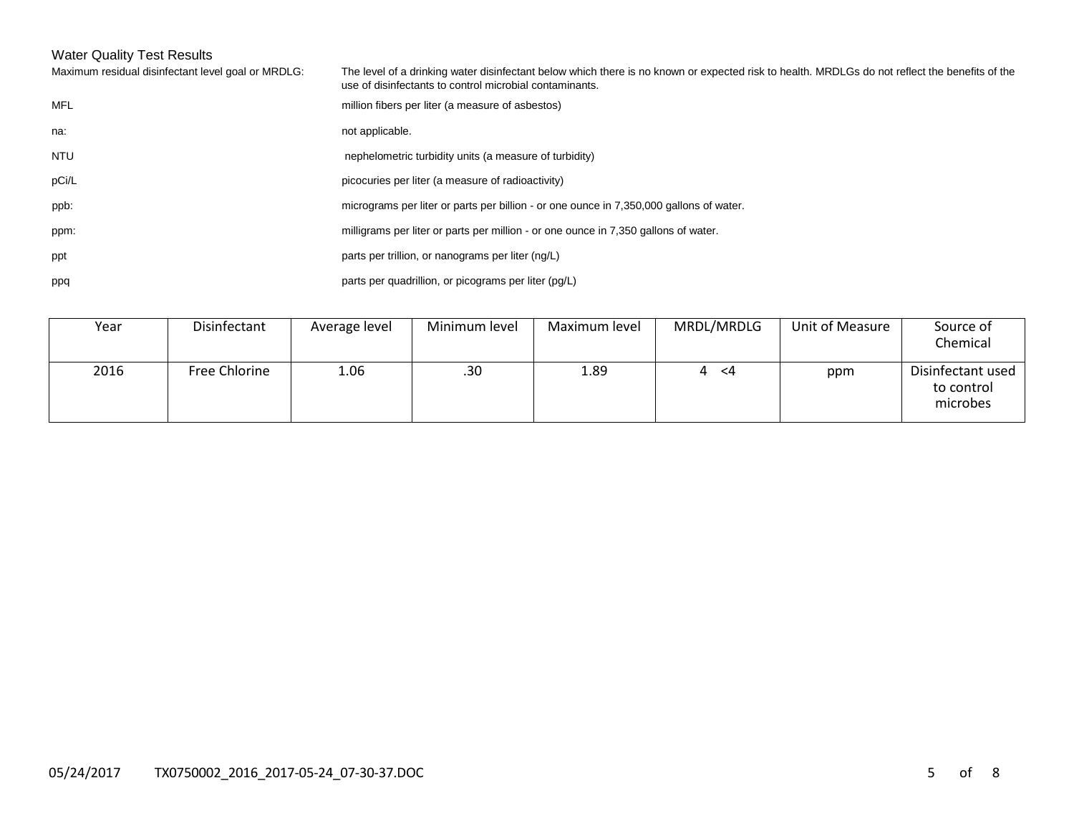# Water Quality Test Results

| Maximum residual disinfectant level goal or MRDLG: | The level of a drinking water disinfectant below which there is no known or expected risk to health. MRDLGs do not reflect the benefits of the<br>use of disinfectants to control microbial contaminants. |
|----------------------------------------------------|-----------------------------------------------------------------------------------------------------------------------------------------------------------------------------------------------------------|
| <b>MFL</b>                                         | million fibers per liter (a measure of asbestos)                                                                                                                                                          |
| na:                                                | not applicable.                                                                                                                                                                                           |
| <b>NTU</b>                                         | nephelometric turbidity units (a measure of turbidity)                                                                                                                                                    |
| pCi/L                                              | picocuries per liter (a measure of radioactivity)                                                                                                                                                         |
| ppb:                                               | micrograms per liter or parts per billion - or one ounce in 7,350,000 gallons of water.                                                                                                                   |
| ppm:                                               | milligrams per liter or parts per million - or one ounce in 7,350 gallons of water.                                                                                                                       |
| ppt                                                | parts per trillion, or nanograms per liter (ng/L)                                                                                                                                                         |
| ppq                                                | parts per quadrillion, or picograms per liter (pg/L)                                                                                                                                                      |
|                                                    |                                                                                                                                                                                                           |

| Year | Disinfectant  | Average level | Minimum level | Maximum level | MRDL/MRDLG | Unit of Measure | Source of<br>Chemical                       |
|------|---------------|---------------|---------------|---------------|------------|-----------------|---------------------------------------------|
| 2016 | Free Chlorine | 1.06          | .30           | 1.89          | - <4<br>4  | ppm             | Disinfectant used<br>to control<br>microbes |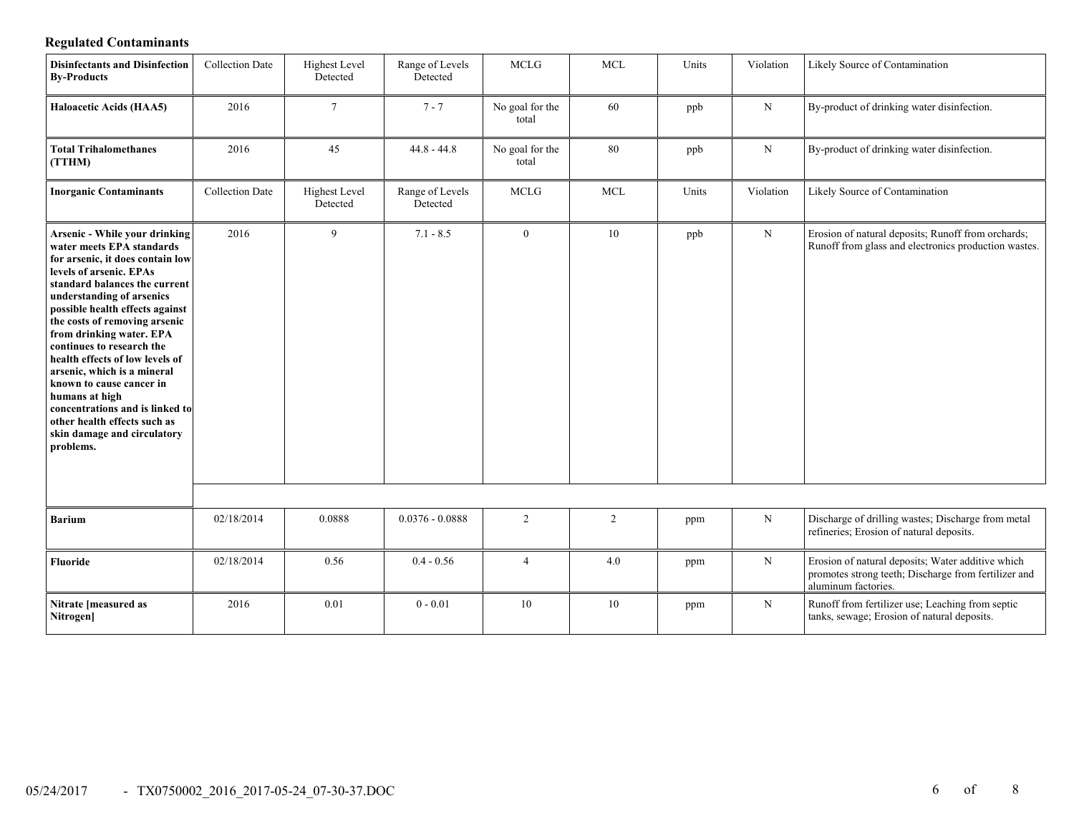# **Regulated Contaminants**

| <b>Disinfectants and Disinfection</b><br><b>By-Products</b>                                                                                                                                                                                                                                                                                                                                                                                                                                                                                                | <b>Collection Date</b> | <b>Highest Level</b><br>Detected | Range of Levels<br>Detected | <b>MCLG</b>              | <b>MCL</b> | Units | Violation   | Likely Source of Contamination                                                                                                   |
|------------------------------------------------------------------------------------------------------------------------------------------------------------------------------------------------------------------------------------------------------------------------------------------------------------------------------------------------------------------------------------------------------------------------------------------------------------------------------------------------------------------------------------------------------------|------------------------|----------------------------------|-----------------------------|--------------------------|------------|-------|-------------|----------------------------------------------------------------------------------------------------------------------------------|
| <b>Haloacetic Acids (HAA5)</b>                                                                                                                                                                                                                                                                                                                                                                                                                                                                                                                             | 2016                   | $7\overline{ }$                  | $7 - 7$                     | No goal for the<br>total | 60         | ppb   | $\mathbf N$ | By-product of drinking water disinfection.                                                                                       |
| <b>Total Trihalomethanes</b><br>(TTHM)                                                                                                                                                                                                                                                                                                                                                                                                                                                                                                                     | 2016                   | 45                               | $44.8 - 44.8$               | No goal for the<br>total | 80         | ppb   | N           | By-product of drinking water disinfection.                                                                                       |
| <b>Inorganic Contaminants</b>                                                                                                                                                                                                                                                                                                                                                                                                                                                                                                                              | <b>Collection Date</b> | <b>Highest Level</b><br>Detected | Range of Levels<br>Detected | <b>MCLG</b>              | <b>MCL</b> | Units | Violation   | Likely Source of Contamination                                                                                                   |
| <b>Arsenic - While your drinking</b><br>water meets EPA standards<br>for arsenic, it does contain low<br>levels of arsenic. EPAs<br>standard balances the current<br>understanding of arsenics<br>possible health effects against<br>the costs of removing arsenic<br>from drinking water. EPA<br>continues to research the<br>health effects of low levels of<br>arsenic, which is a mineral<br>known to cause cancer in<br>humans at high<br>concentrations and is linked to<br>other health effects such as<br>skin damage and circulatory<br>problems. | 2016                   | 9                                | $7.1 - 8.5$                 | $\overline{0}$           | 10         | ppb   | N           | Erosion of natural deposits; Runoff from orchards;<br>Runoff from glass and electronics production wastes.                       |
|                                                                                                                                                                                                                                                                                                                                                                                                                                                                                                                                                            |                        |                                  |                             |                          |            |       |             |                                                                                                                                  |
| <b>Barium</b>                                                                                                                                                                                                                                                                                                                                                                                                                                                                                                                                              | 02/18/2014             | 0.0888                           | $0.0376 - 0.0888$           | 2                        | 2          | ppm   | $\mathbf N$ | Discharge of drilling wastes; Discharge from metal<br>refineries; Erosion of natural deposits.                                   |
| Fluoride                                                                                                                                                                                                                                                                                                                                                                                                                                                                                                                                                   | 02/18/2014             | 0.56                             | $0.4 - 0.56$                | $\overline{4}$           | 4.0        | ppm   | $\mathbf N$ | Erosion of natural deposits; Water additive which<br>promotes strong teeth; Discharge from fertilizer and<br>aluminum factories. |
| Nitrate [measured as<br>Nitrogen]                                                                                                                                                                                                                                                                                                                                                                                                                                                                                                                          | 2016                   | 0.01                             | $0 - 0.01$                  | 10                       | 10         | ppm   | ${\bf N}$   | Runoff from fertilizer use; Leaching from septic<br>tanks, sewage; Erosion of natural deposits.                                  |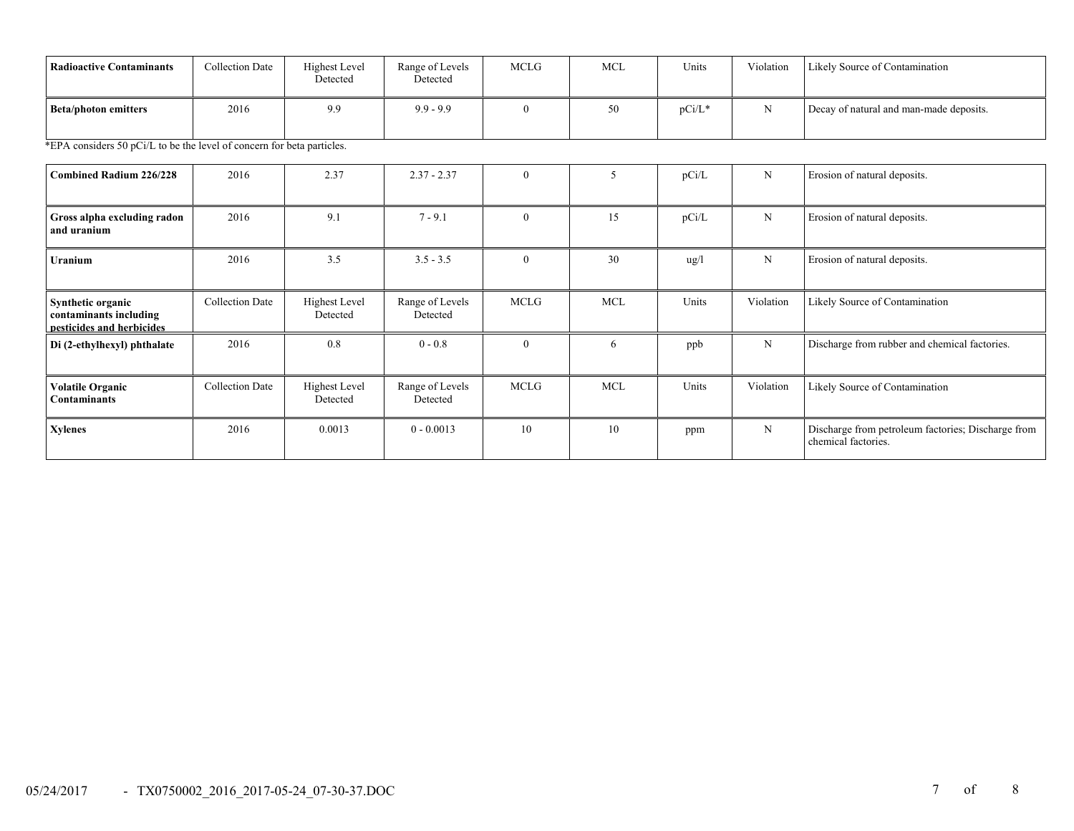| <b>Radioactive Contaminants</b>                                          | <b>Collection Date</b> | <b>Highest Level</b><br>Detected | Range of Levels<br>Detected | <b>MCLG</b>  | <b>MCL</b> | Units         | Violation   | Likely Source of Contamination                                            |
|--------------------------------------------------------------------------|------------------------|----------------------------------|-----------------------------|--------------|------------|---------------|-------------|---------------------------------------------------------------------------|
| <b>Beta/photon emitters</b>                                              | 2016                   | 9.9                              | $9.9 - 9.9$                 | $\theta$     | 50         | $pCi/L*$      | N           | Decay of natural and man-made deposits.                                   |
| *EPA considers 50 pCi/L to be the level of concern for beta particles.   |                        |                                  |                             |              |            |               |             |                                                                           |
| <b>Combined Radium 226/228</b>                                           | 2016                   | 2.37                             | $2.37 - 2.37$               | $\mathbf{0}$ | 5          | pCi/L         | N           | Erosion of natural deposits.                                              |
| Gross alpha excluding radon<br>and uranium                               | 2016                   | 9.1                              | $7 - 9.1$                   | $\theta$     | 15         | pCi/L         | $\mathbf N$ | Erosion of natural deposits.                                              |
| Uranium                                                                  | 2016                   | 3.5                              | $3.5 - 3.5$                 | $\theta$     | 30         | $\frac{u}{g}$ | N           | Erosion of natural deposits.                                              |
| Synthetic organic<br>contaminants including<br>pesticides and herbicides | Collection Date        | <b>Highest Level</b><br>Detected | Range of Levels<br>Detected | <b>MCLG</b>  | <b>MCL</b> | Units         | Violation   | Likely Source of Contamination                                            |
| Di (2-ethylhexyl) phthalate                                              | 2016                   | 0.8                              | $0 - 0.8$                   | $\theta$     | 6          | ppb           | N           | Discharge from rubber and chemical factories.                             |
| <b>Volatile Organic</b><br><b>Contaminants</b>                           | <b>Collection Date</b> | <b>Highest Level</b><br>Detected | Range of Levels<br>Detected | <b>MCLG</b>  | <b>MCL</b> | Units         | Violation   | Likely Source of Contamination                                            |
| <b>Xylenes</b>                                                           | 2016                   | 0.0013                           | $0 - 0.0013$                | 10           | 10         | ppm           | $_{\rm N}$  | Discharge from petroleum factories; Discharge from<br>chemical factories. |